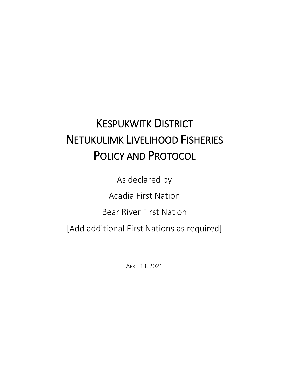# KESPUKWITK DISTRICT NETUKULIMK LIVELIHOOD FISHERIES POLICY AND PROTOCOL

As declared by

Acadia First Nation

Bear River First Nation

[Add additional First Nations as required]

APRIL 13, 2021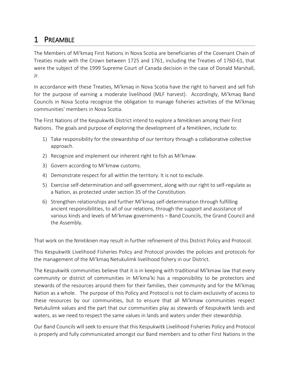# 1 PREAMBLE

The Members of Mi'kmaq First Nations in Nova Scotia are beneficiaries of the Covenant Chain of Treaties made with the Crown between 1725 and 1761, including the Treaties of 1760-61, that were the subject of the 1999 Supreme Court of Canada decision in the case of Donald Marshall, Jr.

In accordance with these Treaties, Mi'kmaq in Nova Scotia have the right to harvest and sell fish for the purpose of earning a moderate livelihood (MLF harvest). Accordingly, Mi'kmaq Band Councils in Nova Scotia recognize the obligation to manage fisheries activities of the Mi'kmaq communities' members in Nova Scotia.

The First Nations of the Kespukwitk District intend to explore a Nmɨtiknen among their First Nations. The goals and purpose of exploring the development of a Nmitiknen, include to:

- 1) Take responsibility for the stewardship of our territory through a collaborative collective approach.
- 2) Recognize and implement our inherent right to fish as Mi'kmaw.
- 3) Govern according to Mi'kmaw customs.
- 4) Demonstrate respect for all within the territory. It is not to exclude.
- 5) Exercise self-determination and self-government, along with our right to self-regulate as a Nation, as protected under section 35 of the Constitution.
- 6) Strengthen relationships and further Mi'kmaq self-determination through fulfilling ancient responsibilities, to all of our relations, through the support and assistance of various kinds and levels of Mi'kmaw governments – Band Councils, the Grand Council and the Assembly.

That work on the Nmɨtiknen may result in further refinement of this District Policy and Protocol.

This Kespukwitk Livelihood Fisheries Policy and Protocol provides the policies and protocols for the management of the Mi'kmaq Netukulimk livelihood fishery in our District.

The Kespukwitk communities believe that it is in keeping with traditional Mi'kmaw law that every community or district of communities in Mi'kma'ki has a responsibility to be protectors and stewards of the resources around them for their families, their community and for the Mi'kmaq Nation as a whole. The purpose of this Policy and Protocol is not to claim exclusivity of access to these resources by our communities, but to ensure that all Mi'kmaw communities respect Netukulimk values and the part that our communities play as stewards of Kespukwitk lands and waters, as we need to respect the same values in lands and waters under their stewardship.

Our Band Councils will seek to ensure that this Kespukwitk Livelihood Fisheries Policy and Protocol is properly and fully communicated amongst our Band members and to other First Nations in the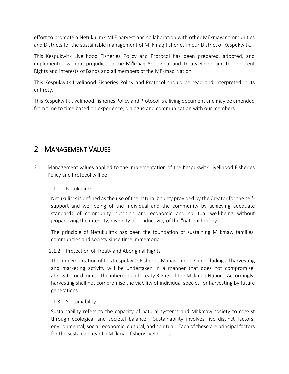effort to promote a Netukulimk MLF harvest and collaboration with other Mi'kmaw communities and Districts for the sustainable management of Mi'kmaq fisheries in our District of Kespukwitk.

This Kespukwitk Livelihood Fisheries Policy and Protocol has been prepared, adopted, and implemented without prejudice to the Mi'kmaq Aboriginal and Treaty Rights and the inherent Rights and interests of Bands and all members of the Mi'kmaq Nation.

This Kespukwitk Livelihood Fisheries Policy and Protocol should be read and interpreted in its entirety.

This Kespukwitk Livelihood Fisheries Policy and Protocol is a living document and may be amended from time to time based on experience, dialogue and communication with our members.

# 2 MANAGEMENT VALUES

2.1 Management values applied to the implementation of the Kespukwitk Livelihood Fisheries Policy and Protocol will be:

# 2.1.1 Netukulimk

Netukulimk is defined as the use of the natural bounty provided by the Creator for the selfsupport and well-being of the individual and the community by achieving adequate standards of community nutrition and economic and spiritual well-being without jeopardizing the integrity, diversity or productivity of the "natural bounty".

The principle of Netukulimk has been the foundation of sustaining Mi'kmaw families, communities and society since time immemorial.

# 2.1.2 Protection of Treaty and Aboriginal Rights

The implementation of this Kespukwitk Fisheries Management Plan including all harvesting and marketing activity will be undertaken in a manner that does not compromise, abrogate, or diminish the inherent and Treaty Rights of the Mi'kmaq Nation. Accordingly, harvesting shall not compromise the viability of individual species for harvesting by future generations.

# 2.1.3 Sustainability

Sustainability refers to the capacity of natural systems and Mi'kmaw society to coexist through ecological and societal balance. Sustainability involves five distinct factors: environmental, social, economic, cultural, and spiritual. Each of these are principal factors for the sustainability of a Mi'kmaq fishery livelihoods.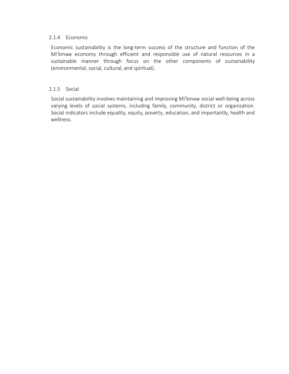### 2.1.4 Economic

Economic sustainability is the long-term success of the structure and function of the Mi'kmaw economy through efficient and responsible use of natural resources in a sustainable manner through focus on the other components of sustainability (environmental, social, cultural, and spiritual).

### 2.1.5 Social

Social sustainability involves maintaining and improving Mi'kmaw social well-being across varying levels of social systems, including family, community, district or organization. Social indicators include equality, equity, poverty, education, and importantly, health and wellness.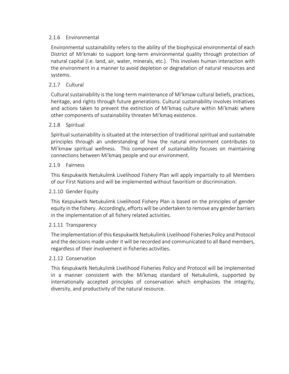### 2.1.6 Environmental

Environmental sustainability refers to the ability of the biophysical environmental of each District of Mi'kmaki to support long-term environmental quality through protection of natural capital (i.e. land, air, water, minerals, etc.). This involves human interaction with the environment in a manner to avoid depletion or degradation of natural resources and systems.

### 2.1.7 Cultural

Cultural sustainability is the long-term maintenance of Mi'kmaw cultural beliefs, practices, heritage, and rights through future generations. Cultural sustainability involves initiatives and actions taken to prevent the extinction of Mi'kmaq culture within Mi'kmaki where other components of sustainability threaten Mi'kmaq existence.

#### 2.1.8 Spiritual

Spiritual sustainability is situated at the intersection of traditional spiritual and sustainable principles through an understanding of how the natural environment contributes to Mi'kmaw spiritual wellness. This component of sustainability focuses on maintaining connections between Mi'kmaq people and our environment.

#### 2.1.9 Fairness

This Kespukwitk Netukulimk Livelihood Fishery Plan will apply impartially to all Members of our First Nations and will be implemented without favoritism or discrimination.

#### 2.1.10 Gender Equity

This Kespukwitk Netukulimk Livelihood Fishery Plan is based on the principles of gender equity in the fishery. Accordingly, efforts will be undertaken to remove any gender barriers in the implementation of all fishery related activities.

#### 2.1.11 Transparency

The implementation of this Kespukwitk Netukulimk Livelihood Fisheries Policy and Protocol and the decisions made under it will be recorded and communicated to all Band members, regardless of their involvement in fisheries activities.

#### 2.1.12 Conservation

This Kespukwitk Netukulimk Livelihood Fisheries Policy and Protocol will be implemented in a manner consistent with the Mi'kmaq standard of Netukulimk, supported by internationally accepted principles of conservation which emphasizes the integrity, diversity, and productivity of the natural resource.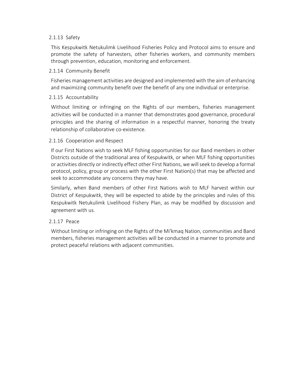### 2.1.13 Safety

This Kespukwitk Netukulimk Livelihood Fisheries Policy and Protocol aims to ensure and promote the safety of harvesters, other fisheries workers, and community members through prevention, education, monitoring and enforcement.

#### 2.1.14 Community Benefit

Fisheries management activities are designed and implemented with the aim of enhancing and maximizing community benefit over the benefit of any one individual or enterprise.

### 2.1.15 Accountability

Without limiting or infringing on the Rights of our members, fisheries management activities will be conducted in a manner that demonstrates good governance, procedural principles and the sharing of information in a respectful manner, honoring the treaty relationship of collaborative co-existence.

### 2.1.16 Cooperation and Respect

If our First Nations wish to seek MLF fishing opportunities for our Band members in other Districts outside of the traditional area of Kespukwitk, or when MLF fishing opportunities or activities directly or indirectly effect other First Nations, we will seek to develop a formal protocol, policy, group or process with the other First Nation(s) that may be affected and seek to accommodate any concerns they may have.

Similarly, when Band members of other First Nations wish to MLF harvest within our District of Kespukwitk, they will be expected to abide by the principles and rules of this Kespukwitk Netukulimk Livelihood Fishery Plan, as may be modified by discussion and agreement with us.

#### 2.1.17 Peace

Without limiting or infringing on the Rights of the Mi'kmaq Nation, communities and Band members, fisheries management activities will be conducted in a manner to promote and protect peaceful relations with adjacent communities.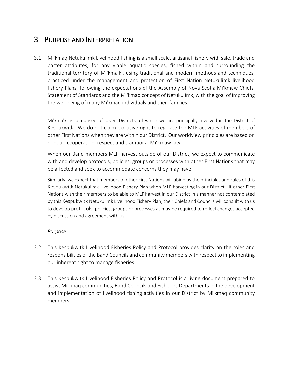# 3 PURPOSE AND INTERPRETATION

3.1 Mi'kmaq Netukulimk Livelihood fishing is a small scale, artisanal fishery with sale, trade and barter attributes, for any viable aquatic species, fished within and surrounding the traditional territory of Mi'kma'ki, using traditional and modern methods and techniques, practiced under the management and protection of First Nation Netukulimk livelihood fishery Plans, following the expectations of the Assembly of Nova Scotia Mi'kmaw Chiefs' Statement of Standards and the Mi'kmaq concept of Netukulimk, with the goal of improving the well-being of many Mi'kmaq individuals and their families.

Mi'kma'ki is comprised of seven Districts, of which we are principally involved in the District of Kespukwitk. We do not claim exclusive right to regulate the MLF activities of members of other First Nations when they are within our District. Our worldview principles are based on honour, cooperation, respect and traditional Mi'kmaw law.

When our Band members MLF harvest outside of our District, we expect to communicate with and develop protocols, policies, groups or processes with other First Nations that may be affected and seek to accommodate concerns they may have.

Similarly, we expect that members of other First Nations will abide by the principles and rules of this Kespukwitk Netukulimk Livelihood Fishery Plan when MLF harvesting in our District. If other First Nations wish their members to be able to MLF harvest in our District in a manner not contemplated by this Kespukwitk Netukulimk Livelihood Fishery Plan, their Chiefs and Councils will consult with us to develop protocols, policies, groups or processes as may be required to reflect changes accepted by discussion and agreement with us.

# *Purpose*

- 3.2 This Kespukwitk Livelihood Fisheries Policy and Protocol provides clarity on the roles and responsibilities of the Band Councils and community members with respect to implementing our inherent right to manage fisheries.
- 3.3 This Kespukwitk Livelihood Fisheries Policy and Protocol is a living document prepared to assist Mi'kmaq communities, Band Councils and Fisheries Departments in the development and implementation of livelihood fishing activities in our District by Mi'kmaq community members.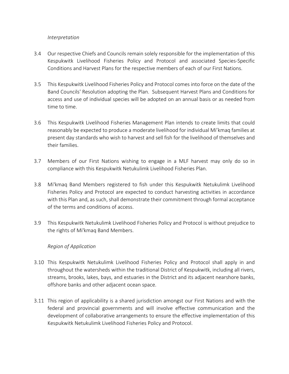### *Interpretation*

- 3.4 Our respective Chiefs and Councils remain solely responsible for the implementation of this Kespukwitk Livelihood Fisheries Policy and Protocol and associated Species-Specific Conditions and Harvest Plans for the respective members of each of our First Nations.
- 3.5 This Kespukwitk Livelihood Fisheries Policy and Protocol comes into force on the date of the Band Councils' Resolution adopting the Plan. Subsequent Harvest Plans and Conditions for access and use of individual species will be adopted on an annual basis or as needed from time to time.
- 3.6 This Kespukwitk Livelihood Fisheries Management Plan intends to create limits that could reasonably be expected to produce a moderate livelihood for individual Mi'kmaq families at present day standards who wish to harvest and sell fish for the livelihood of themselves and their families.
- 3.7 Members of our First Nations wishing to engage in a MLF harvest may only do so in compliance with this Kespukwitk Netukulimk Livelihood Fisheries Plan.
- 3.8 Mi'kmaq Band Members registered to fish under this Kespukwitk Netukulimk Livelihood Fisheries Policy and Protocol are expected to conduct harvesting activities in accordance with this Plan and, as such, shall demonstrate their commitment through formal acceptance of the terms and conditions of access.
- 3.9 This Kespukwitk Netukulimk Livelihood Fisheries Policy and Protocol is without prejudice to the rights of Mi'kmaq Band Members.

# *Region of Application*

- 3.10 This Kespukwitk Netukulimk Livelihood Fisheries Policy and Protocol shall apply in and throughout the watersheds within the traditional District of Kespukwitk, including all rivers, streams, brooks, lakes, bays, and estuaries in the District and its adjacent nearshore banks, offshore banks and other adjacent ocean space.
- 3.11 This region of applicability is a shared jurisdiction amongst our First Nations and with the federal and provincial governments and will involve effective communication and the development of collaborative arrangements to ensure the effective implementation of this Kespukwitk Netukulimk Livelihood Fisheries Policy and Protocol.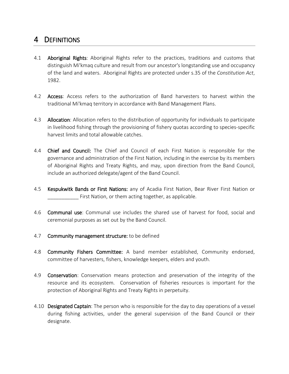# 4 DEFINITIONS

- 4.1 **Aboriginal Rights:** Aboriginal Rights refer to the practices, traditions and customs that distinguish Mi'kmaq culture and result from our ancestor's longstanding use and occupancy of the land and waters. Aboriginal Rights are protected under s.35 of the *Constitution Act*, 1982.
- 4.2 **Access**: Access refers to the authorization of Band harvesters to harvest within the traditional Mi'kmaq territory in accordance with Band Management Plans.
- 4.3 Allocation: Allocation refers to the distribution of opportunity for individuals to participate in livelihood fishing through the provisioning of fishery quotas according to species-specific harvest limits and total allowable catches.
- 4.4 Chief and Council: The Chief and Council of each First Nation is responsible for the governance and administration of the First Nation, including in the exercise by its members of Aboriginal Rights and Treaty Rights, and may, upon direction from the Band Council, include an authorized delegate/agent of the Band Council.
- 4.5 Kespukwitk Bands or First Nations: any of Acadia First Nation, Bear River First Nation or First Nation, or them acting together, as applicable.
- 4.6 Communal use: Communal use includes the shared use of harvest for food, social and ceremonial purposes as set out by the Band Council.
- 4.7 Community management structure: to be defined
- 4.8 Community Fishers Committee: A band member established, Community endorsed, committee of harvesters, fishers, knowledge keepers, elders and youth.
- 4.9 **Conservation**: Conservation means protection and preservation of the integrity of the resource and its ecosystem. Conservation of fisheries resources is important for the protection of Aboriginal Rights and Treaty Rights in perpetuity.
- 4.10 **Designated Captain**: The person who is responsible for the day to day operations of a vessel during fishing activities, under the general supervision of the Band Council or their designate.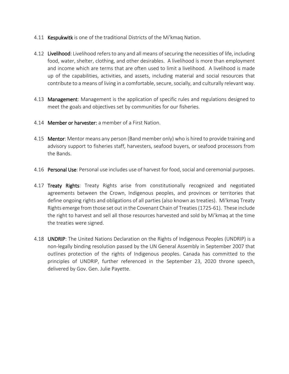- 4.11 **Kespukwitk** is one of the traditional Districts of the Mi'kmaq Nation.
- 4.12 Livelihood: Livelihood refers to any and all means of securing the necessities of life, including food, water, shelter, clothing, and other desirables. A livelihood is more than employment and income which are terms that are often used to limit a livelihood. A livelihood is made up of the capabilities, activities, and assets, including material and social resources that contribute to a means of living in a comfortable, secure, socially, and culturally relevant way.
- 4.13 **Management**: Management is the application of specific rules and regulations designed to meet the goals and objectives set by communities for our fisheries.
- 4.14 Member or harvester: a member of a First Nation.
- 4.15 Mentor: Mentor means any person (Band member only) who is hired to provide training and advisory support to fisheries staff, harvesters, seafood buyers, or seafood processors from the Bands.
- 4.16 Personal Use: Personal use includes use of harvest for food, social and ceremonial purposes.
- 4.17 Treaty Rights: Treaty Rights arise from constitutionally recognized and negotiated agreements between the Crown, Indigenous peoples, and provinces or territories that define ongoing rights and obligations of all parties (also known as treaties). Mi'kmaq Treaty Rights emerge from those set out in the Covenant Chain of Treaties (1725-61). These include the right to harvest and sell all those resources harvested and sold by Mi'kmaq at the time the treaties were signed.
- 4.18 **UNDRIP:** The United Nations Declaration on the Rights of Indigenous Peoples (UNDRIP) is a non-legally binding resolution passed by the UN General Assembly in September 2007 that outlines protection of the rights of Indigenous peoples. Canada has committed to the principles of UNDRIP, further referenced in the September 23, 2020 throne speech, delivered by Gov. Gen. Julie Payette.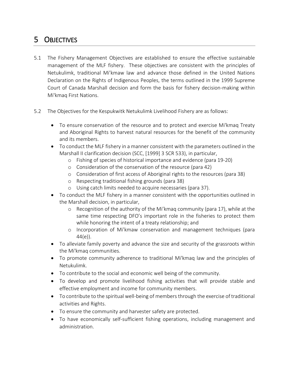# 5 OBJECTIVES

- 5.1 The Fishery Management Objectives are established to ensure the effective sustainable management of the MLF fishery. These objectives are consistent with the principles of Netukulimk, traditional Mi'kmaw law and advance those defined in the United Nations Declaration on the Rights of Indigenous Peoples, the terms outlined in the 1999 Supreme Court of Canada Marshall decision and form the basis for fishery decision-making within Mi'kmaq First Nations.
- 5.2 The Objectives for the Kespukwitk Netukulimk Livelihood Fishery are as follows:
	- To ensure conservation of the resource and to protect and exercise Mi'kmaq Treaty and Aboriginal Rights to harvest natural resources for the benefit of the community and its members.
	- To conduct the MLF fishery in a manner consistent with the parameters outlined in the Marshall II clarification decision (SCC, [1999] 3 SCR 533), in particular,
		- o Fishing of species of historical importance and evidence (para 19-20)
		- o Consideration of the conservation of the resource (para 42)
		- o Consideration of first access of Aboriginal rights to the resources (para 38)
		- o Respecting traditional fishing grounds (para 38)
		- o Using catch limits needed to acquire necessaries (para 37).
	- To conduct the MLF fishery in a manner consistent with the opportunities outlined in the Marshall decision, in particular,
		- o Recognition of the authority of the Mi'kmaq community (para 17), while at the same time respecting DFO's important role in the fisheries to protect them while honoring the intent of a treaty relationship; and
		- o Incorporation of Mi'kmaw conservation and management techniques (para 44(e)).
	- To alleviate family poverty and advance the size and security of the grassroots within the Mi'kmaq communities.
	- To promote community adherence to traditional Mi'kmaq law and the principles of Netukulimk.
	- To contribute to the social and economic well being of the community.
	- To develop and promote livelihood fishing activities that will provide stable and effective employment and income for community members.
	- To contribute to the spiritual well-being of members through the exercise of traditional activities and Rights.
	- To ensure the community and harvester safety are protected.
	- To have economically self-sufficient fishing operations, including management and administration.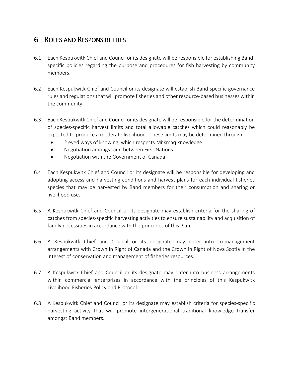# 6 ROLES AND RESPONSIBILITIES

- 6.1 Each Kespukwitk Chief and Council or its designate will be responsible for establishing Bandspecific policies regarding the purpose and procedures for fish harvesting by community members.
- 6.2 Each Kespukwitk Chief and Council or its designate will establish Band-specific governance rules and regulations that will promote fisheries and other resource-based businesses within the community.
- 6.3 Each Kespukwitk Chief and Council or its designate will be responsible for the determination of species-specific harvest limits and total allowable catches which could reasonably be expected to produce a moderate livelihood. These limits may be determined through:
	- 2 eyed ways of knowing, which respects Mi'kmaq knowledge
	- Negotiation amongst and between First Nations
	- Negotiation with the Government of Canada
- 6.4 Each Kespukwitk Chief and Council or its designate will be responsible for developing and adopting access and harvesting conditions and harvest plans for each individual fisheries species that may be harvested by Band members for their consumption and sharing or livelihood use.
- 6.5 A Kespukwitk Chief and Council or its designate may establish criteria for the sharing of catches from species-specific harvesting activities to ensure sustainability and acquisition of family necessities in accordance with the principles of this Plan.
- 6.6 A Kespukwitk Chief and Council or its designate may enter into co-management arrangements with Crown in Right of Canada and the Crown in Right of Nova Scotia in the interest of conservation and management of fisheries resources.
- 6.7 A Kespukwitk Chief and Council or its designate may enter into business arrangements within commercial enterprises in accordance with the principles of this Kespukwitk Livelihood Fisheries Policy and Protocol.
- 6.8 A Kespukwitk Chief and Council or its designate may establish criteria for species-specific harvesting activity that will promote intergenerational traditional knowledge transfer amongst Band members.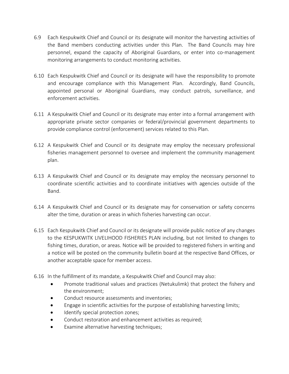- 6.9 Each Kespukwitk Chief and Council or its designate will monitor the harvesting activities of the Band members conducting activities under this Plan. The Band Councils may hire personnel, expand the capacity of Aboriginal Guardians, or enter into co-management monitoring arrangements to conduct monitoring activities.
- 6.10 Each Kespukwitk Chief and Council or its designate will have the responsibility to promote and encourage compliance with this Management Plan. Accordingly, Band Councils, appointed personal or Aboriginal Guardians, may conduct patrols, surveillance, and enforcement activities.
- 6.11 A Kespukwitk Chief and Council or its designate may enter into a formal arrangement with appropriate private sector companies or federal/provincial government departments to provide compliance control (enforcement) services related to this Plan.
- 6.12 A Kespukwitk Chief and Council or its designate may employ the necessary professional fisheries management personnel to oversee and implement the community management plan.
- 6.13 A Kespukwitk Chief and Council or its designate may employ the necessary personnel to coordinate scientific activities and to coordinate initiatives with agencies outside of the Band.
- 6.14 A Kespukwitk Chief and Council or its designate may for conservation or safety concerns alter the time, duration or areas in which fisheries harvesting can occur.
- 6.15 Each Kespukwitk Chief and Council or its designate will provide public notice of any changes to the KESPUKWITK LIVELIHOOD FISHERIES PLAN including, but not limited to changes to fishing times, duration, or areas. Notice will be provided to registered fishers in writing and a notice will be posted on the community bulletin board at the respective Band Offices, or another acceptable space for member access.
- 6.16 In the fulfillment of its mandate, a Kespukwitk Chief and Council may also:
	- Promote traditional values and practices (Netukulimk) that protect the fishery and the environment;
	- Conduct resource assessments and inventories;
	- Engage in scientific activities for the purpose of establishing harvesting limits;
	- Identify special protection zones;
	- Conduct restoration and enhancement activities as required;
	- Examine alternative harvesting techniques;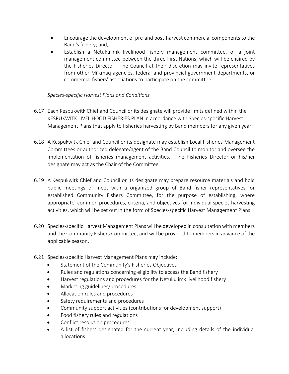- Encourage the development of pre-and post-harvest commercial components to the Band's fishery; and,
- Establish a Netukulimk livelihood fishery management committee, or a joint management committee between the three First Nations, which will be chaired by the Fisheries Director. The Council at their discretion may invite representatives from other Mi'kmaq agencies, federal and provincial government departments, or commercial fishers' associations to participate on the committee.

# *Species-specific Harvest Plans and Conditions*

- 6.17 Each Kespukwitk Chief and Council or its designate will provide limits defined within the KESPUKWITK LIVELIHOOD FISHERIES PLAN in accordance with Species-specific Harvest Management Plans that apply to fisheries harvesting by Band members for any given year.
- 6.18 A Kespukwitk Chief and Council or its designate may establish Local Fisheries Management Committees or authorized delegate/agent of the Band Council to monitor and oversee the implementation of fisheries management activities. The Fisheries Director or his/her designate may act as the Chair of the Committee.
- 6.19 A Kespukwitk Chief and Council or its designate may prepare resource materials and hold public meetings or meet with a organized group of Band fisher representatives, or established Community Fishers Committee, for the purpose of establishing, where appropriate, common procedures, criteria, and objectives for individual species harvesting activities, which will be set out in the form of Species-specific Harvest Management Plans.
- 6.20 Species-specific Harvest Management Plans will be developed in consultation with members and the Community Fishers Committee, and will be provided to members in advance of the applicable season.
- 6.21 Species-specific Harvest Management Plans may include:
	- Statement of the Community's Fisheries Objectives
	- Rules and regulations concerning eligibility to access the Band fishery
	- Harvest regulations and procedures for the Netukulimk livelihood fishery
	- Marketing guidelines/procedures
	- Allocation rules and procedures
	- Safety requirements and procedures
	- Community support activities (contributions for development support)
	- Food fishery rules and regulations
	- Conflict resolution procedures
	- A list of fishers designated for the current year, including details of the individual allocations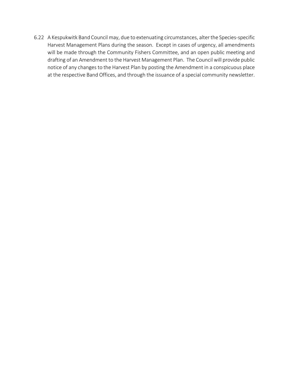6.22 A Kespukwitk Band Council may, due to extenuating circumstances, alter the Species-specific Harvest Management Plans during the season. Except in cases of urgency, all amendments will be made through the Community Fishers Committee, and an open public meeting and drafting of an Amendment to the Harvest Management Plan. The Council will provide public notice of any changes to the Harvest Plan by posting the Amendment in a conspicuous place at the respective Band Offices, and through the issuance of a special community newsletter.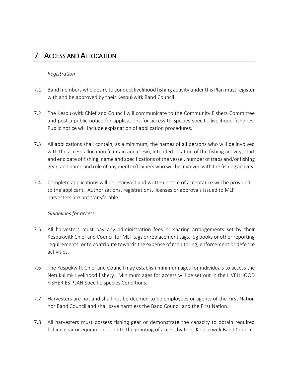# 7 ACCESS AND ALLOCATION

### *Registration*

- 7.1 Band members who desire to conduct livelihood fishing activity under this Plan must register with and be approved by their Kespukwitk Band Council.
- 7.2 The Kespukwitk Chief and Council will communicate to the Community Fishers Committee and post a public notice for applications for access to Species-specific livelihood fisheries. Public notice will include explanation of application procedures.
- 7.3 All applications shall contain, as a minimum, the names of all persons who will be involved with the access allocation (captain and crew), intended location of the fishing activity, start and end date of fishing, name and specifications of the vessel, number of traps and/or fishing gear, and name and role of any mentor/trainers who will be involved with the fishing activity.
- 7.4 Complete applications will be reviewed and written notice of acceptance will be provided to the applicant. Authorizations, registrations, licenses or approvals issued to MLF harvesters are not transferable.

#### *Guidelines for access:*

- 7.5 All harvesters must pay any administration fees or sharing arrangements set by their Kespukwitk Chief and Council for MLF tags or replacement tags, log books or other reporting requirements, or to contribute towards the expense of monitoring, enforcement or defence activities.
- 7.6 The Kespukwitk Chief and Council may establish minimum ages for individuals to access the Netukulimk livelihood fishery. Minimum ages for access will be set out in the LIVELIHOOD FISHERIES PLAN Specific-species Conditions.
- 7.7 Harvesters are not and shall not be deemed to be employees or agents of the First Nation nor Band Council and shall save harmless the Band Council and the First Nation.
- 7.8 All harvesters must possess fishing gear or demonstrate the capacity to obtain required fishing gear or equipment prior to the granting of access by their Kespukwitk Band Council.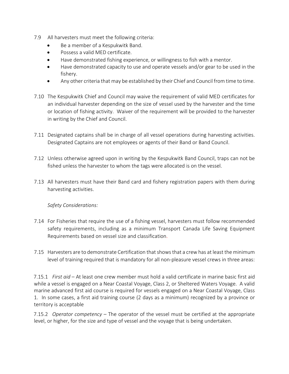- 7.9 All harvesters must meet the following criteria:
	- Be a member of a Kespukwitk Band.
	- Possess a valid MED certificate.
	- Have demonstrated fishing experience, or willingness to fish with a mentor.
	- Have demonstrated capacity to use and operate vessels and/or gear to be used in the fishery.
	- Any other criteria that may be established by their Chief and Council from time to time.
- 7.10 The Kespukwitk Chief and Council may waive the requirement of valid MED certificates for an individual harvester depending on the size of vessel used by the harvester and the time or location of fishing activity. Waiver of the requirement will be provided to the harvester in writing by the Chief and Council.
- 7.11 Designated captains shall be in charge of all vessel operations during harvesting activities. Designated Captains are not employees or agents of their Band or Band Council.
- 7.12 Unless otherwise agreed upon in writing by the Kespukwitk Band Council, traps can not be fished unless the harvester to whom the tags were allocated is on the vessel.
- 7.13 All harvesters must have their Band card and fishery registration papers with them during harvesting activities.

*Safety Considerations:*

- 7.14 For Fisheries that require the use of a fishing vessel, harvesters must follow recommended safety requirements, including as a minimum Transport Canada Life Saving Equipment Requirements based on vessel size and classification.
- 7.15 Harvesters are to demonstrate Certification that shows that a crew has at least the minimum level of training required that is mandatory for all non-pleasure vessel crews in three areas:

7.15.1 *First aid* – At least one crew member must hold a valid certificate in marine basic first aid while a vessel is engaged on a Near Coastal Voyage, Class 2, or Sheltered Waters Voyage. A valid marine advanced first aid course is required for vessels engaged on a Near Coastal Voyage, Class 1. In some cases, a first aid training course (2 days as a minimum) recognized by a province or territory is acceptable

7.15.2 *Operator competency* – The operator of the vessel must be certified at the appropriate level, or higher, for the size and type of vessel and the voyage that is being undertaken.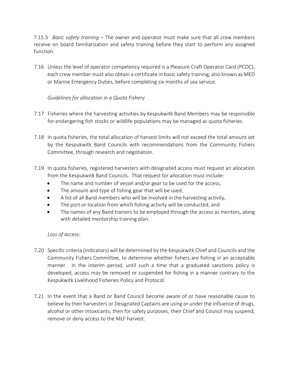7.15.3 *Basic safety training* – The owner and operator must make sure that all crew members receive on board familiarization and safety training before they start to perform any assigned function.

7.16 Unless the level of operator competency required is a Pleasure Craft Operator Card (PCOC), each crew member must also obtain a certificate in basic safety training, also known as MED or Marine Emergency Duties, before completing six months of sea service.

# *Guidelines for allocation in a Quota Fishery*

- 7.17 Fisheries where the harvesting activities by Kespukwitk Band Members may be responsible for endangering fish stocks or wildlife populations may be managed as quota fisheries.
- 7.18 In quota fisheries, the total allocation of harvest limits will not exceed the total amount set by the Kespukwitk Band Councils with recommendations from the Community Fishers Committee, through research and negotiation.
- 7.19 In quota fisheries, registered harvesters with designated access must request an allocation from the Kespukwitk Band Councils. That request for allocation must include:
	- The name and number of vessel and/or gear to be used for the access,
	- The amount and type of fishing gear that will be used,
	- A list of all Band members who will be involved in the harvesting activity,
	- The port or location from which fishing activity will be conducted, and
	- The names of any Band trainers to be employed through the access as mentors, along with detailed mentorship training plan.

# *Loss of access:*

- 7.20 Specific criteria (indicators) will be determined by the Kespukwitk Chief and Councils and the Community Fishers Committee, to determine whether fishers are fishing in an acceptable manner. In the interim period, until such a time that a graduated sanctions policy is developed, access may be removed or suspended for fishing in a manner contrary to the Kespukwitk Livelihood Fisheries Policy and Protocol.
- 7.21 In the event that a Band or Band Council become aware of or have reasonable cause to believe by their harvesters or Designated Captains are using or under the influence of drugs, alcohol or other intoxicants, then for safety purposes, their Chief and Council may suspend, remove or deny access to the MLF harvest.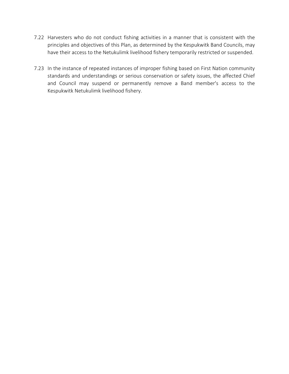- 7.22 Harvesters who do not conduct fishing activities in a manner that is consistent with the principles and objectives of this Plan, as determined by the Kespukwitk Band Councils, may have their access to the Netukulimk livelihood fishery temporarily restricted or suspended.
- 7.23 In the instance of repeated instances of improper fishing based on First Nation community standards and understandings or serious conservation or safety issues, the affected Chief and Council may suspend or permanently remove a Band member's access to the Kespukwitk Netukulimk livelihood fishery.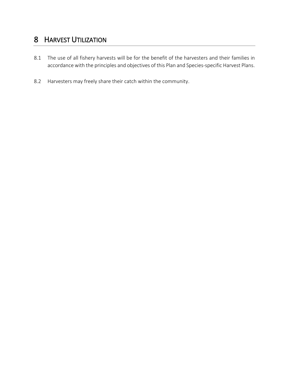# 8 HARVEST UTILIZATION

- 8.1 The use of all fishery harvests will be for the benefit of the harvesters and their families in accordance with the principles and objectives of this Plan and Species-specific Harvest Plans.
- 8.2 Harvesters may freely share their catch within the community.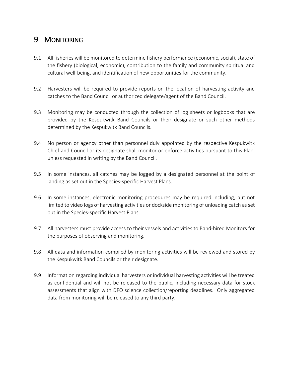# 9 MONITORING

- 9.1 All fisheries will be monitored to determine fishery performance (economic, social), state of the fishery (biological, economic), contribution to the family and community spiritual and cultural well-being, and identification of new opportunities for the community.
- 9.2 Harvesters will be required to provide reports on the location of harvesting activity and catches to the Band Council or authorized delegate/agent of the Band Council.
- 9.3 Monitoring may be conducted through the collection of log sheets or logbooks that are provided by the Kespukwitk Band Councils or their designate or such other methods determined by the Kespukwitk Band Councils.
- 9.4 No person or agency other than personnel duly appointed by the respective Kespukwitk Chief and Council or its designate shall monitor or enforce activities pursuant to this Plan, unless requested in writing by the Band Council.
- 9.5 In some instances, all catches may be logged by a designated personnel at the point of landing as set out in the Species-specific Harvest Plans.
- 9.6 In some instances, electronic monitoring procedures may be required including, but not limited to video logs of harvesting activities or dockside monitoring of unloading catch as set out in the Species-specific Harvest Plans.
- 9.7 All harvesters must provide access to their vessels and activities to Band-hired Monitors for the purposes of observing and monitoring.
- 9.8 All data and information compiled by monitoring activities will be reviewed and stored by the Kespukwitk Band Councils or their designate.
- 9.9 Information regarding individual harvesters or individual harvesting activities will be treated as confidential and will not be released to the public, including necessary data for stock assessments that align with DFO science collection/reporting deadlines. Only aggregated data from monitoring will be released to any third party.